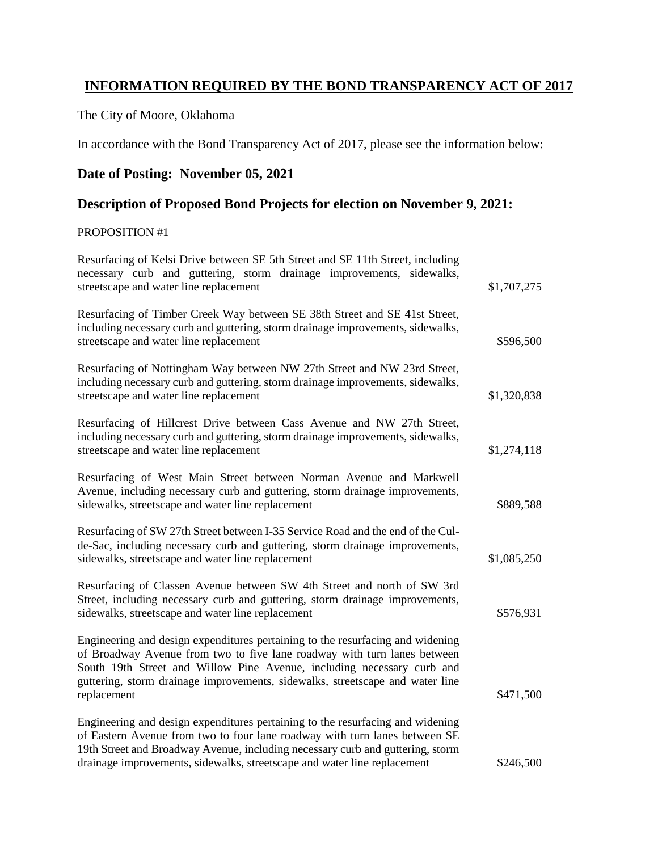## **INFORMATION REQUIRED BY THE BOND TRANSPARENCY ACT OF 2017**

The City of Moore, Oklahoma

In accordance with the Bond Transparency Act of 2017, please see the information below:

## **Date of Posting: November 05, 2021**

# **Description of Proposed Bond Projects for election on November 9, 2021:**

#### PROPOSITION #1

| \$1,707,275 |
|-------------|
| \$596,500   |
| \$1,320,838 |
| \$1,274,118 |
| \$889,588   |
| \$1,085,250 |
| \$576,931   |
| \$471,500   |
| \$246,500   |
|             |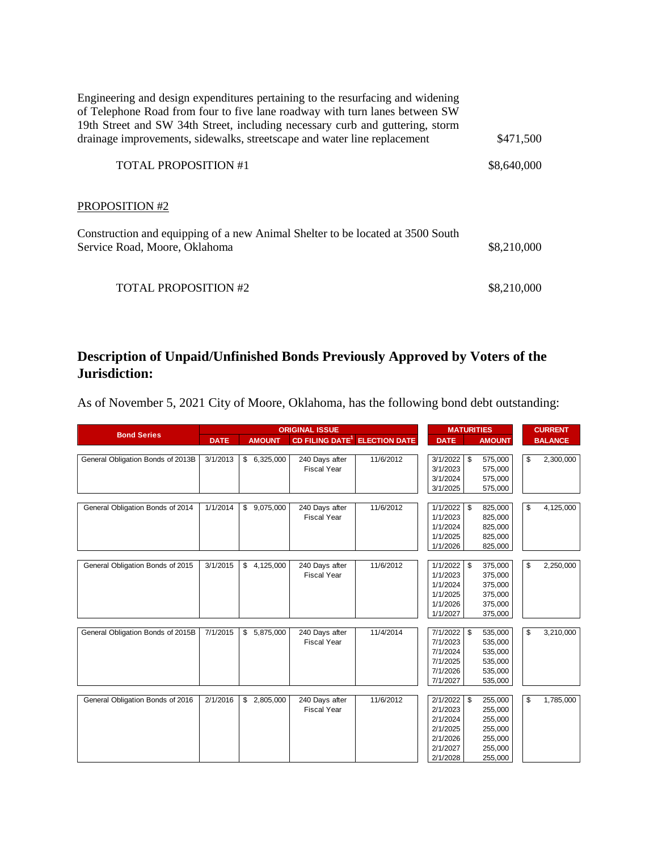| Engineering and design expenditures pertaining to the resurfacing and widening<br>of Telephone Road from four to five lane roadway with turn lanes between SW<br>19th Street and SW 34th Street, including necessary curb and guttering, storm<br>drainage improvements, sidewalks, streetscape and water line replacement | \$471,500   |
|----------------------------------------------------------------------------------------------------------------------------------------------------------------------------------------------------------------------------------------------------------------------------------------------------------------------------|-------------|
| <b>TOTAL PROPOSITION #1</b>                                                                                                                                                                                                                                                                                                | \$8,640,000 |
| <b>PROPOSITION #2</b>                                                                                                                                                                                                                                                                                                      |             |
| Construction and equipping of a new Animal Shelter to be located at 3500 South<br>Service Road, Moore, Oklahoma                                                                                                                                                                                                            | \$8,210,000 |
| <b>TOTAL PROPOSITION #2</b>                                                                                                                                                                                                                                                                                                | \$8,210,000 |

# **Description of Unpaid/Unfinished Bonds Previously Approved by Voters of the Jurisdiction:**

As of November 5, 2021 City of Moore, Oklahoma, has the following bond debt outstanding:

|                                   |             | <b>ORIGINAL ISSUE</b> |               |                                      | <b>MATURITIES</b>    |                      |    |                    |  | <b>CURRENT</b> |                |  |
|-----------------------------------|-------------|-----------------------|---------------|--------------------------------------|----------------------|----------------------|----|--------------------|--|----------------|----------------|--|
| <b>Bond Series</b>                | <b>DATE</b> |                       | <b>AMOUNT</b> | CD FILING DATE <sup>1</sup>          | <b>ELECTION DATE</b> | <b>DATE</b>          |    | <b>AMOUNT</b>      |  |                | <b>BALANCE</b> |  |
|                                   |             |                       |               |                                      |                      |                      |    |                    |  |                |                |  |
| General Obligation Bonds of 2013B | 3/1/2013    |                       | \$6,325,000   | 240 Days after                       | 11/6/2012            | $3/1/2022$ \$        |    | 575,000            |  | \$             | 2,300,000      |  |
|                                   |             |                       |               | <b>Fiscal Year</b>                   |                      | 3/1/2023             |    | 575,000            |  |                |                |  |
|                                   |             |                       |               |                                      |                      | 3/1/2024             |    | 575,000            |  |                |                |  |
|                                   |             |                       |               |                                      |                      | 3/1/2025             |    | 575,000            |  |                |                |  |
|                                   |             |                       |               |                                      |                      |                      |    |                    |  |                |                |  |
| General Obligation Bonds of 2014  | 1/1/2014    |                       | \$9,075,000   | 240 Days after<br><b>Fiscal Year</b> | 11/6/2012            | 1/1/2022             | \$ | 825,000            |  | \$             | 4,125,000      |  |
|                                   |             |                       |               |                                      |                      | 1/1/2023<br>1/1/2024 |    | 825,000<br>825,000 |  |                |                |  |
|                                   |             |                       |               |                                      |                      | 1/1/2025             |    | 825,000            |  |                |                |  |
|                                   |             |                       |               |                                      |                      | 1/1/2026             |    |                    |  |                |                |  |
|                                   |             |                       |               |                                      |                      |                      |    | 825,000            |  |                |                |  |
| General Obligation Bonds of 2015  | 3/1/2015    |                       | \$4,125,000   | 240 Days after                       | 11/6/2012            | 1/1/2022             | \$ | 375,000            |  | \$             | 2,250,000      |  |
|                                   |             |                       |               | <b>Fiscal Year</b>                   |                      | 1/1/2023             |    | 375,000            |  |                |                |  |
|                                   |             |                       |               |                                      |                      | 1/1/2024             |    | 375,000            |  |                |                |  |
|                                   |             |                       |               |                                      |                      | 1/1/2025             |    | 375,000            |  |                |                |  |
|                                   |             |                       |               |                                      |                      | 1/1/2026             |    | 375,000            |  |                |                |  |
|                                   |             |                       |               |                                      |                      | 1/1/2027             |    | 375,000            |  |                |                |  |
|                                   |             |                       |               |                                      |                      |                      |    |                    |  |                |                |  |
| General Obligation Bonds of 2015B | 7/1/2015    |                       | \$5,875,000   | 240 Days after                       | 11/4/2014            | 7/1/2022             | \$ | 535,000            |  | \$             | 3,210,000      |  |
|                                   |             |                       |               | <b>Fiscal Year</b>                   |                      | 7/1/2023             |    | 535,000            |  |                |                |  |
|                                   |             |                       |               |                                      |                      | 7/1/2024             |    | 535,000            |  |                |                |  |
|                                   |             |                       |               |                                      |                      | 7/1/2025             |    | 535,000            |  |                |                |  |
|                                   |             |                       |               |                                      |                      | 7/1/2026             |    | 535,000            |  |                |                |  |
|                                   |             |                       |               |                                      |                      | 7/1/2027             |    | 535,000            |  |                |                |  |
|                                   |             |                       |               |                                      |                      |                      |    |                    |  |                |                |  |
| General Obligation Bonds of 2016  | 2/1/2016    |                       | \$2,805,000   | 240 Days after                       | 11/6/2012            | $2/1/2022$ \$        |    | 255,000            |  | \$             | 1,785,000      |  |
|                                   |             |                       |               | <b>Fiscal Year</b>                   |                      | 2/1/2023             |    | 255,000            |  |                |                |  |
|                                   |             |                       |               |                                      |                      | 2/1/2024             |    | 255,000            |  |                |                |  |
|                                   |             |                       |               |                                      |                      | 2/1/2025             |    | 255,000            |  |                |                |  |
|                                   |             |                       |               |                                      |                      | 2/1/2026             |    | 255,000            |  |                |                |  |
|                                   |             |                       |               |                                      |                      | 2/1/2027             |    | 255,000            |  |                |                |  |
|                                   |             |                       |               |                                      |                      | 2/1/2028             |    | 255,000            |  |                |                |  |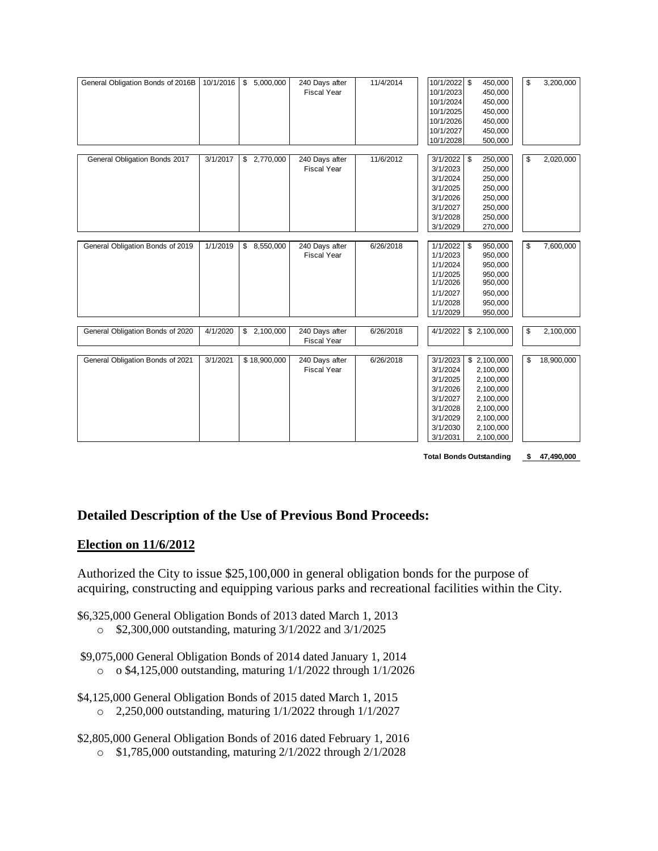| General Obligation Bonds of 2016B | 10/1/2016 | \$5,000,000  | 240 Days after<br><b>Fiscal Year</b> | 11/4/2014 | 10/1/2022 \$<br>10/1/2023<br>10/1/2024<br>10/1/2025<br>10/1/2026<br>10/1/2027<br>10/1/2028               | 450,000<br>450,000<br>450,000<br>450,000<br>450,000<br>450,000<br>500,000                                           | \$<br>3,200,000  |
|-----------------------------------|-----------|--------------|--------------------------------------|-----------|----------------------------------------------------------------------------------------------------------|---------------------------------------------------------------------------------------------------------------------|------------------|
| General Obligation Bonds 2017     | 3/1/2017  | \$2,770,000  | 240 Days after<br><b>Fiscal Year</b> | 11/6/2012 | 3/1/2022<br>3/1/2023<br>3/1/2024<br>3/1/2025<br>3/1/2026<br>3/1/2027<br>3/1/2028<br>3/1/2029             | 250,000<br>$\sqrt{3}$<br>250,000<br>250,000<br>250,000<br>250,000<br>250,000<br>250,000<br>270,000                  | \$<br>2,020,000  |
| General Obligation Bonds of 2019  | 1/1/2019  | \$8,550,000  | 240 Days after<br><b>Fiscal Year</b> | 6/26/2018 | 1/1/2022<br>1/1/2023<br>1/1/2024<br>1/1/2025<br>1/1/2026<br>1/1/2027<br>1/1/2028<br>1/1/2029             | <b>\$</b><br>950,000<br>950,000<br>950,000<br>950,000<br>950,000<br>950,000<br>950,000<br>950,000                   | \$<br>7,600,000  |
| General Obligation Bonds of 2020  | 4/1/2020  | \$2,100,000  | 240 Days after<br><b>Fiscal Year</b> | 6/26/2018 | 4/1/2022                                                                                                 | \$2,100,000                                                                                                         | \$<br>2,100,000  |
| General Obligation Bonds of 2021  | 3/1/2021  | \$18,900,000 | 240 Days after<br><b>Fiscal Year</b> | 6/26/2018 | 3/1/2023<br>3/1/2024<br>3/1/2025<br>3/1/2026<br>3/1/2027<br>3/1/2028<br>3/1/2029<br>3/1/2030<br>3/1/2031 | \$2,100,000<br>2,100,000<br>2,100,000<br>2,100,000<br>2,100,000<br>2,100,000<br>2,100,000<br>2,100,000<br>2,100,000 | \$<br>18,900,000 |

**Total Bonds Outstanding \$ 47,490,000**

## **Detailed Description of the Use of Previous Bond Proceeds:**

#### **Election on 11/6/2012**

Authorized the City to issue \$25,100,000 in general obligation bonds for the purpose of acquiring, constructing and equipping various parks and recreational facilities within the City.

\$6,325,000 General Obligation Bonds of 2013 dated March 1, 2013

o \$2,300,000 outstanding, maturing 3/1/2022 and 3/1/2025

\$9,075,000 General Obligation Bonds of 2014 dated January 1, 2014

- o o \$4,125,000 outstanding, maturing 1/1/2022 through 1/1/2026
- \$4,125,000 General Obligation Bonds of 2015 dated March 1, 2015
	- o 2,250,000 outstanding, maturing 1/1/2022 through 1/1/2027
- \$2,805,000 General Obligation Bonds of 2016 dated February 1, 2016
	- o \$1,785,000 outstanding, maturing 2/1/2022 through 2/1/2028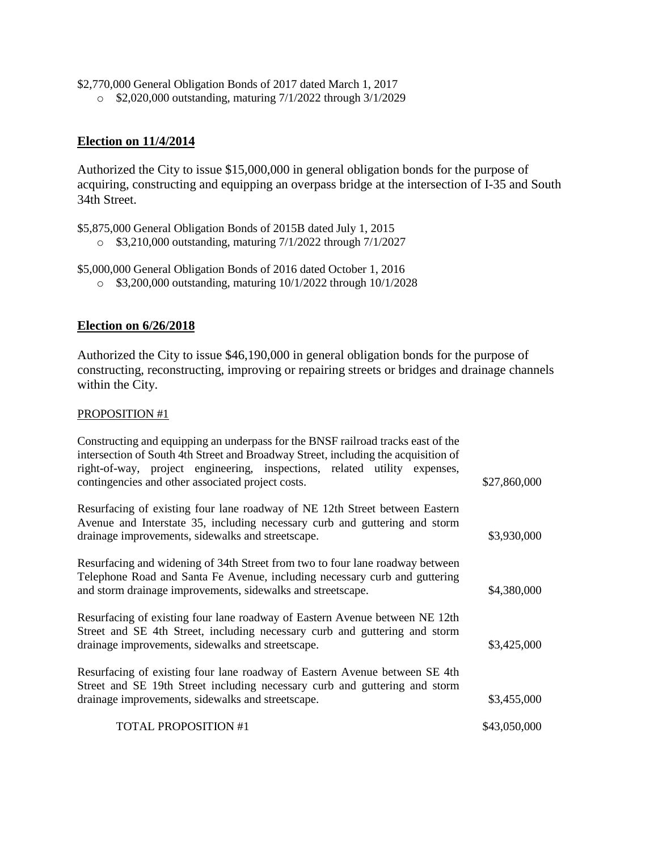\$2,770,000 General Obligation Bonds of 2017 dated March 1, 2017

o \$2,020,000 outstanding, maturing 7/1/2022 through 3/1/2029

### **Election on 11/4/2014**

Authorized the City to issue \$15,000,000 in general obligation bonds for the purpose of acquiring, constructing and equipping an overpass bridge at the intersection of I-35 and South 34th Street.

\$5,875,000 General Obligation Bonds of 2015B dated July 1, 2015

- o \$3,210,000 outstanding, maturing 7/1/2022 through 7/1/2027
- \$5,000,000 General Obligation Bonds of 2016 dated October 1, 2016
	- o \$3,200,000 outstanding, maturing 10/1/2022 through 10/1/2028

#### **Election on 6/26/2018**

Authorized the City to issue \$46,190,000 in general obligation bonds for the purpose of constructing, reconstructing, improving or repairing streets or bridges and drainage channels within the City.

#### PROPOSITION #1

| Constructing and equipping an underpass for the BNSF railroad tracks east of the<br>intersection of South 4th Street and Broadway Street, including the acquisition of<br>right-of-way, project engineering, inspections, related utility expenses, |              |
|-----------------------------------------------------------------------------------------------------------------------------------------------------------------------------------------------------------------------------------------------------|--------------|
| contingencies and other associated project costs.                                                                                                                                                                                                   | \$27,860,000 |
| Resurfacing of existing four lane roadway of NE 12th Street between Eastern<br>Avenue and Interstate 35, including necessary curb and guttering and storm                                                                                           |              |
| drainage improvements, sidewalks and streetscape.                                                                                                                                                                                                   | \$3,930,000  |
| Resurfacing and widening of 34th Street from two to four lane roadway between<br>Telephone Road and Santa Fe Avenue, including necessary curb and guttering                                                                                         |              |
| and storm drainage improvements, sidewalks and streetscape.                                                                                                                                                                                         | \$4,380,000  |
| Resurfacing of existing four lane roadway of Eastern Avenue between NE 12th<br>Street and SE 4th Street, including necessary curb and guttering and storm                                                                                           |              |
| drainage improvements, sidewalks and streetscape.                                                                                                                                                                                                   | \$3,425,000  |
| Resurfacing of existing four lane roadway of Eastern Avenue between SE 4th<br>Street and SE 19th Street including necessary curb and guttering and storm                                                                                            |              |
| drainage improvements, sidewalks and streetscape.                                                                                                                                                                                                   | \$3,455,000  |
| <b>TOTAL PROPOSITION #1</b>                                                                                                                                                                                                                         | \$43,050,000 |